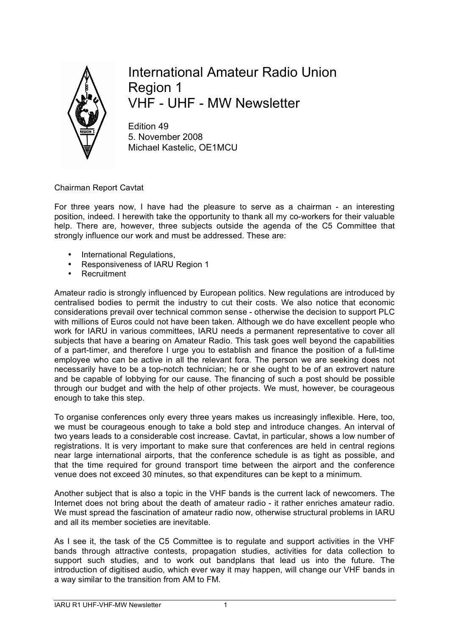

International Amateur Radio Union Region 1 VHF - UHF - MW Newsletter

Edition 49 5. November 2008 Michael Kastelic, OE1MCU

Chairman Report Cavtat

For three years now, I have had the pleasure to serve as a chairman - an interesting position, indeed. I herewith take the opportunity to thank all my co-workers for their valuable help. There are, however, three subjects outside the agenda of the C5 Committee that strongly influence our work and must be addressed. These are:

- International Regulations,
- Responsiveness of IARU Region 1
- **Recruitment**

Amateur radio is strongly influenced by European politics. New regulations are introduced by centralised bodies to permit the industry to cut their costs. We also notice that economic considerations prevail over technical common sense - otherwise the decision to support PLC with millions of Euros could not have been taken. Although we do have excellent people who work for IARU in various committees, IARU needs a permanent representative to cover all subjects that have a bearing on Amateur Radio. This task goes well beyond the capabilities of a part-timer, and therefore I urge you to establish and finance the position of a full-time employee who can be active in all the relevant fora. The person we are seeking does not necessarily have to be a top-notch technician; he or she ought to be of an extrovert nature and be capable of lobbying for our cause. The financing of such a post should be possible through our budget and with the help of other projects. We must, however, be courageous enough to take this step.

To organise conferences only every three years makes us increasingly inflexible. Here, too, we must be courageous enough to take a bold step and introduce changes. An interval of two years leads to a considerable cost increase. Cavtat, in particular, shows a low number of registrations. It is very important to make sure that conferences are held in central regions near large international airports, that the conference schedule is as tight as possible, and that the time required for ground transport time between the airport and the conference venue does not exceed 30 minutes, so that expenditures can be kept to a minimum.

Another subject that is also a topic in the VHF bands is the current lack of newcomers. The Internet does not bring about the death of amateur radio - it rather enriches amateur radio. We must spread the fascination of amateur radio now, otherwise structural problems in IARU and all its member societies are inevitable.

As I see it, the task of the C5 Committee is to regulate and support activities in the VHF bands through attractive contests, propagation studies, activities for data collection to support such studies, and to work out bandplans that lead us into the future. The introduction of digitised audio, which ever way it may happen, will change our VHF bands in a way similar to the transition from AM to FM.